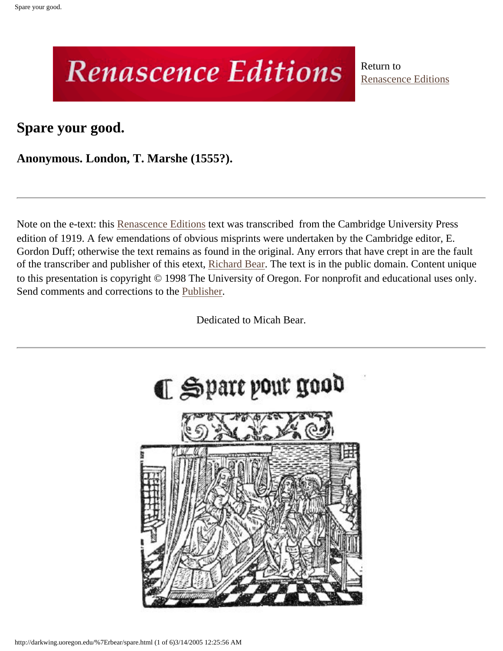## **Renascence Editions**

Return to [Renascence Editions](http://darkwing.uoregon.edu/~rbear/ren.htm)

**Spare your good.**

**Anonymous. London, T. Marshe (1555?).**

Note on the e-text: this [Renascence Editions](http://darkwing.uoregon.edu/~rbear/ren.htm) text was transcribed from the Cambridge University Press edition of 1919. A few emendations of obvious misprints were undertaken by the Cambridge editor, E. Gordon Duff; otherwise the text remains as found in the original. Any errors that have crept in are the fault of the transcriber and publisher of this etext, [Richard Bear.](http://darkwing.uoregon.edu/%7Erbear/resume.html) The text is in the public domain. Content unique to this presentation is copyright © 1998 The University of Oregon. For nonprofit and educational uses only. Send comments and corrections to the [Publisher.](mailto:rbear@uoregon.edu)

Dedicated to Micah Bear.

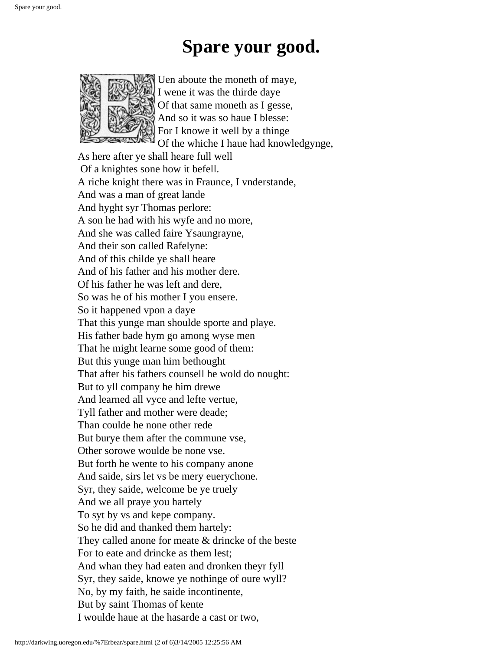## **Spare your good.**



Uen aboute the moneth of maye, I wene it was the thirde daye Of that same moneth as I gesse, And so it was so haue I blesse: For I knowe it well by a thinge Of the whiche I haue had knowledgynge,

As here after ye shall heare full well Of a knightes sone how it befell. A riche knight there was in Fraunce, I vnderstande, And was a man of great lande And hyght syr Thomas perlore: A son he had with his wyfe and no more, And she was called faire Ysaungrayne, And their son called Rafelyne: And of this childe ye shall heare And of his father and his mother dere. Of his father he was left and dere, So was he of his mother I you ensere. So it happened vpon a daye That this yunge man shoulde sporte and playe. His father bade hym go among wyse men That he might learne some good of them: But this yunge man him bethought That after his fathers counsell he wold do nought: But to yll company he him drewe And learned all vyce and lefte vertue, Tyll father and mother were deade; Than coulde he none other rede But burye them after the commune vse, Other sorowe woulde be none vse. But forth he wente to his company anone And saide, sirs let vs be mery euerychone. Syr, they saide, welcome be ye truely And we all praye you hartely To syt by vs and kepe company. So he did and thanked them hartely: They called anone for meate & drincke of the beste For to eate and drincke as them lest; And whan they had eaten and dronken theyr fyll Syr, they saide, knowe ye nothinge of oure wyll? No, by my faith, he saide incontinente, But by saint Thomas of kente I woulde haue at the hasarde a cast or two,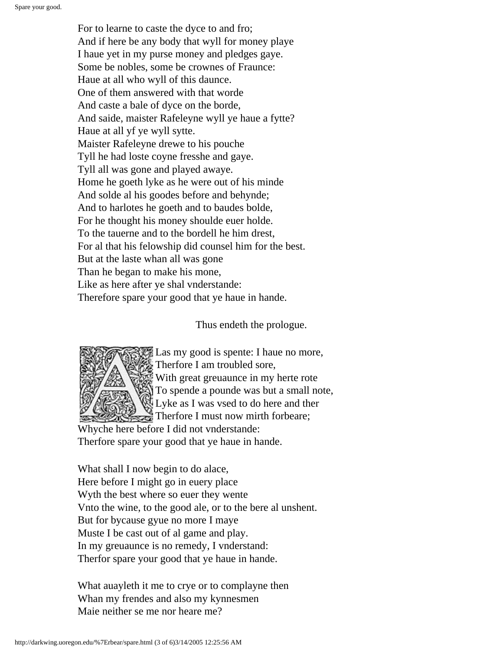For to learne to caste the dyce to and fro; And if here be any body that wyll for money playe I haue yet in my purse money and pledges gaye. Some be nobles, some be crownes of Fraunce: Haue at all who wyll of this daunce. One of them answered with that worde And caste a bale of dyce on the borde, And saide, maister Rafeleyne wyll ye haue a fytte? Haue at all yf ye wyll sytte. Maister Rafeleyne drewe to his pouche Tyll he had loste coyne fresshe and gaye. Tyll all was gone and played awaye. Home he goeth lyke as he were out of his minde And solde al his goodes before and behynde; And to harlotes he goeth and to baudes bolde, For he thought his money shoulde euer holde. To the tauerne and to the bordell he him drest, For al that his felowship did counsel him for the best. But at the laste whan all was gone Than he began to make his mone, Like as here after ye shal vnderstande: Therefore spare your good that ye haue in hande.

Thus endeth the prologue.



Las my good is spente: I haue no more, Therfore I am troubled sore, With great greuaunce in my herte rote To spende a pounde was but a small note, Lyke as I was vsed to do here and ther Therfore I must now mirth forbeare;

Whyche here before I did not vnderstande: Therfore spare your good that ye haue in hande.

What shall I now begin to do alace, Here before I might go in euery place Wyth the best where so euer they wente Vnto the wine, to the good ale, or to the bere al unshent. But for bycause gyue no more I maye Muste I be cast out of al game and play. In my greuaunce is no remedy, I vnderstand: Therfor spare your good that ye haue in hande.

What auayleth it me to crye or to complayne then Whan my frendes and also my kynnesmen Maie neither se me nor heare me?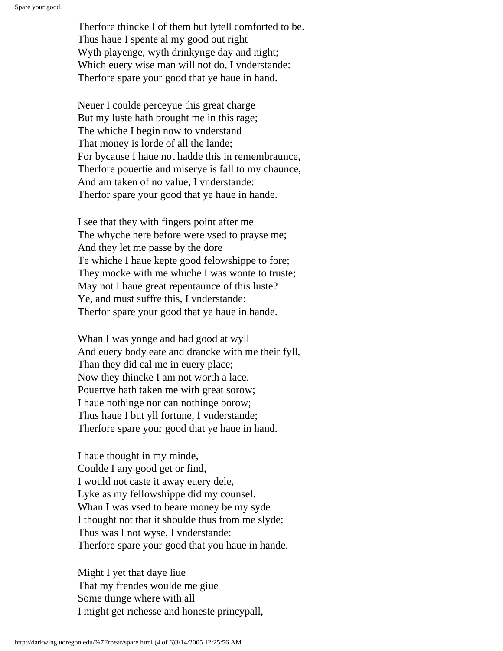Therfore thincke I of them but lytell comforted to be. Thus haue I spente al my good out right Wyth playenge, wyth drinkynge day and night; Which euery wise man will not do, I vnderstande: Therfore spare your good that ye haue in hand.

Neuer I coulde perceyue this great charge But my luste hath brought me in this rage; The whiche I begin now to vnderstand That money is lorde of all the lande; For bycause I haue not hadde this in remembraunce, Therfore pouertie and miserye is fall to my chaunce, And am taken of no value, I vnderstande: Therfor spare your good that ye haue in hande.

I see that they with fingers point after me The whyche here before were vsed to prayse me; And they let me passe by the dore Te whiche I haue kepte good felowshippe to fore; They mocke with me whiche I was wonte to truste; May not I haue great repentaunce of this luste? Ye, and must suffre this, I vnderstande: Therfor spare your good that ye haue in hande.

Whan I was yonge and had good at wyll And euery body eate and drancke with me their fyll, Than they did cal me in euery place; Now they thincke I am not worth a lace. Pouertye hath taken me with great sorow; I haue nothinge nor can nothinge borow; Thus haue I but yll fortune, I vnderstande; Therfore spare your good that ye haue in hand.

I haue thought in my minde, Coulde I any good get or find, I would not caste it away euery dele, Lyke as my fellowshippe did my counsel. Whan I was vsed to beare money be my syde I thought not that it shoulde thus from me slyde; Thus was I not wyse, I vnderstande: Therfore spare your good that you haue in hande.

Might I yet that daye liue That my frendes woulde me giue Some thinge where with all I might get richesse and honeste princypall,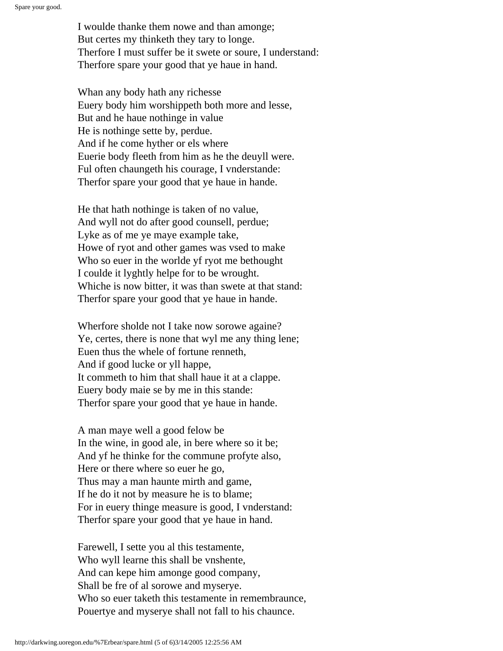I woulde thanke them nowe and than amonge; But certes my thinketh they tary to longe. Therfore I must suffer be it swete or soure, I understand: Therfore spare your good that ye haue in hand.

Whan any body hath any richesse Euery body him worshippeth both more and lesse, But and he haue nothinge in value He is nothinge sette by, perdue. And if he come hyther or els where Euerie body fleeth from him as he the deuyll were. Ful often chaungeth his courage, I vnderstande: Therfor spare your good that ye haue in hande.

He that hath nothinge is taken of no value, And wyll not do after good counsell, perdue; Lyke as of me ye maye example take, Howe of ryot and other games was vsed to make Who so euer in the worlde yf ryot me bethought I coulde it lyghtly helpe for to be wrought. Whiche is now bitter, it was than swete at that stand: Therfor spare your good that ye haue in hande.

Wherfore sholde not I take now sorowe againe? Ye, certes, there is none that wyl me any thing lene; Euen thus the whele of fortune renneth, And if good lucke or yll happe, It commeth to him that shall haue it at a clappe. Euery body maie se by me in this stande: Therfor spare your good that ye haue in hande.

A man maye well a good felow be In the wine, in good ale, in bere where so it be; And yf he thinke for the commune profyte also, Here or there where so euer he go, Thus may a man haunte mirth and game, If he do it not by measure he is to blame; For in euery thinge measure is good, I vnderstand: Therfor spare your good that ye haue in hand.

Farewell, I sette you al this testamente, Who wyll learne this shall be vnshente, And can kepe him amonge good company, Shall be fre of al sorowe and myserye. Who so euer taketh this testamente in remembraunce, Pouertye and myserye shall not fall to his chaunce.